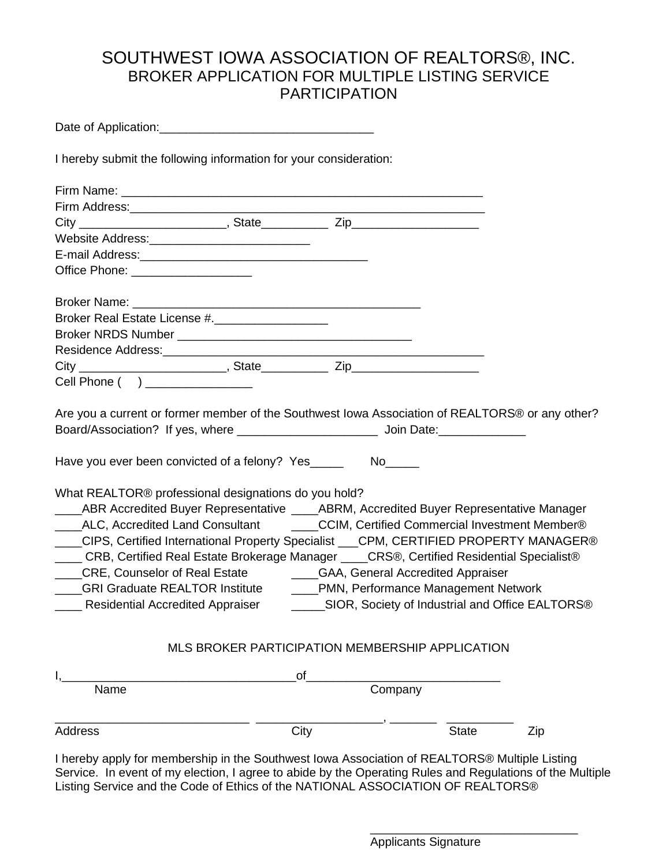## SOUTHWEST IOWA ASSOCIATION OF REALTORS®, INC. BROKER APPLICATION FOR MULTIPLE LISTING SERVICE PARTICIPATION

Date of Application:\_\_\_\_\_\_\_\_\_\_\_\_\_\_\_\_\_\_\_\_\_\_\_\_\_\_\_\_\_\_\_\_

I hereby submit the following information for your consideration:

| Office Phone: ____________________                                                                                                                                                                                                                                                                                                                                                                                                                                                                         |                                                 |      |         |              |     |
|------------------------------------------------------------------------------------------------------------------------------------------------------------------------------------------------------------------------------------------------------------------------------------------------------------------------------------------------------------------------------------------------------------------------------------------------------------------------------------------------------------|-------------------------------------------------|------|---------|--------------|-----|
|                                                                                                                                                                                                                                                                                                                                                                                                                                                                                                            |                                                 |      |         |              |     |
| Broker Real Estate License #.                                                                                                                                                                                                                                                                                                                                                                                                                                                                              |                                                 |      |         |              |     |
|                                                                                                                                                                                                                                                                                                                                                                                                                                                                                                            |                                                 |      |         |              |     |
|                                                                                                                                                                                                                                                                                                                                                                                                                                                                                                            |                                                 |      |         |              |     |
|                                                                                                                                                                                                                                                                                                                                                                                                                                                                                                            |                                                 |      |         |              |     |
| Cell Phone ( ) _______________                                                                                                                                                                                                                                                                                                                                                                                                                                                                             |                                                 |      |         |              |     |
| What REALTOR® professional designations do you hold?<br>____ABR Accredited Buyer Representative ____ABRM, Accredited Buyer Representative Manager<br>Lacken ALC, Accredited Land Consultant Cassic Commercial Investment Member®<br>___CIPS, Certified International Property Specialist ___CPM, CERTIFIED PROPERTY MANAGER®<br>CRB, Certified Real Estate Brokerage Manager ____CRS®, Certified Residential Specialist®<br>____CRE, Counselor of Real Estate ___________GAA, General Accredited Appraiser |                                                 |      |         |              |     |
| ____GRI Graduate REALTOR Institute ______PMN, Performance Management Network                                                                                                                                                                                                                                                                                                                                                                                                                               |                                                 |      |         |              |     |
|                                                                                                                                                                                                                                                                                                                                                                                                                                                                                                            | MLS BROKER PARTICIPATION MEMBERSHIP APPLICATION |      |         |              |     |
|                                                                                                                                                                                                                                                                                                                                                                                                                                                                                                            |                                                 | of   |         |              |     |
| Name                                                                                                                                                                                                                                                                                                                                                                                                                                                                                                       |                                                 |      | Company |              |     |
| Address                                                                                                                                                                                                                                                                                                                                                                                                                                                                                                    |                                                 | City |         | <b>State</b> | Zip |

I hereby apply for membership in the Southwest Iowa Association of REALTORS® Multiple Listing Service. In event of my election, I agree to abide by the Operating Rules and Regulations of the Multiple Listing Service and the Code of Ethics of the NATIONAL ASSOCIATION OF REALTORS®

Applicants Signature

\_\_\_\_\_\_\_\_\_\_\_\_\_\_\_\_\_\_\_\_\_\_\_\_\_\_\_\_\_\_\_